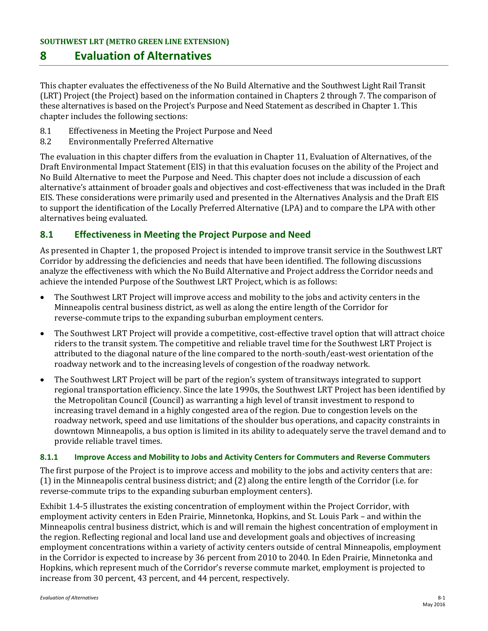# **8 Evaluation of Alternatives**

This chapter evaluates the effectiveness of the No Build Alternative and the Southwest Light Rail Transit (LRT) Project (the Project) based on the information contained in Chapters 2 through 7. The comparison of these alternatives is based on the Project's Purpose and Need Statement as described in Chapter 1. This chapter includes the following sections:

- 8.1 Effectiveness in Meeting the Project Purpose and Need<br>8.2 Environmentally Preferred Alternative
- 8.2 Environmentally Preferred Alternative

The evaluation in this chapter differs from the evaluation in Chapter 11, Evaluation of Alternatives, of the Draft Environmental Impact Statement (EIS) in that this evaluation focuses on the ability of the Project and No Build Alternative to meet the Purpose and Need. This chapter does not include a discussion of each alternative's attainment of broader goals and objectives and cost-effectiveness that was included in the Draft EIS. These considerations were primarily used and presented in the Alternatives Analysis and the Draft EIS to support the identification of the Locally Preferred Alternative (LPA) and to compare the LPA with other alternatives being evaluated.

### **8.1 Effectiveness in Meeting the Project Purpose and Need**

As presented in Chapter 1, the proposed Project is intended to improve transit service in the Southwest LRT Corridor by addressing the deficiencies and needs that have been identified. The following discussions analyze the effectiveness with which the No Build Alternative and Project address the Corridor needs and achieve the intended Purpose of the Southwest LRT Project, which is as follows:

- The Southwest LRT Project will improve access and mobility to the jobs and activity centers in the Minneapolis central business district, as well as along the entire length of the Corridor for reverse-commute trips to the expanding suburban employment centers.
- The Southwest LRT Project will provide a competitive, cost-effective travel option that will attract choice riders to the transit system. The competitive and reliable travel time for the Southwest LRT Project is attributed to the diagonal nature of the line compared to the north-south/east-west orientation of the roadway network and to the increasing levels of congestion of the roadway network.
- The Southwest LRT Project will be part of the region's system of transitways integrated to support regional transportation efficiency. Since the late 1990s, the Southwest LRT Project has been identified by the Metropolitan Council (Council) as warranting a high level of transit investment to respond to increasing travel demand in a highly congested area of the region. Due to congestion levels on the roadway network, speed and use limitations of the shoulder bus operations, and capacity constraints in downtown Minneapolis, a bus option is limited in its ability to adequately serve the travel demand and to provide reliable travel times.

#### **8.1.1 Improve Access and Mobility to Jobs and Activity Centers for Commuters and Reverse Commuters**

The first purpose of the Project is to improve access and mobility to the jobs and activity centers that are: (1) in the Minneapolis central business district; and (2) along the entire length of the Corridor (i.e. for reverse-commute trips to the expanding suburban employment centers).

Exhibit 1.4-5 illustrates the existing concentration of employment within the Project Corridor, with employment activity centers in Eden Prairie, Minnetonka, Hopkins, and St. Louis Park – and within the Minneapolis central business district, which is and will remain the highest concentration of employment in the region. Reflecting regional and local land use and development goals and objectives of increasing employment concentrations within a variety of activity centers outside of central Minneapolis, employment in the Corridor is expected to increase by 36 percent from 2010 to 2040. In Eden Prairie, Minnetonka and Hopkins, which represent much of the Corridor's reverse commute market, employment is projected to increase from 30 percent, 43 percent, and 44 percent, respectively.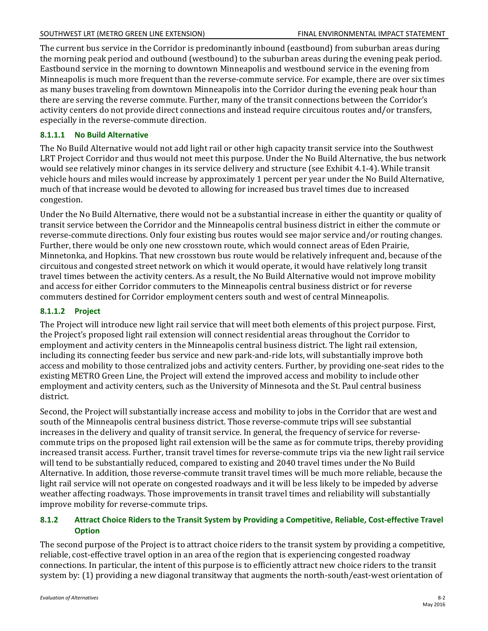The current bus service in the Corridor is predominantly inbound (eastbound) from suburban areas during the morning peak period and outbound (westbound) to the suburban areas during the evening peak period. Eastbound service in the morning to downtown Minneapolis and westbound service in the evening from Minneapolis is much more frequent than the reverse-commute service. For example, there are over six times as many buses traveling from downtown Minneapolis into the Corridor during the evening peak hour than there are serving the reverse commute. Further, many of the transit connections between the Corridor's activity centers do not provide direct connections and instead require circuitous routes and/or transfers, especially in the reverse-commute direction.

#### **8.1.1.1 No Build Alternative**

The No Build Alternative would not add light rail or other high capacity transit service into the Southwest LRT Project Corridor and thus would not meet this purpose. Under the No Build Alternative, the bus network would see relatively minor changes in its service delivery and structure (see Exhibit 4.1-4). While transit vehicle hours and miles would increase by approximately 1 percent per year under the No Build Alternative, much of that increase would be devoted to allowing for increased bus travel times due to increased congestion.

Under the No Build Alternative, there would not be a substantial increase in either the quantity or quality of transit service between the Corridor and the Minneapolis central business district in either the commute or reverse-commute directions. Only four existing bus routes would see major service and/or routing changes. Further, there would be only one new crosstown route, which would connect areas of Eden Prairie, Minnetonka, and Hopkins. That new crosstown bus route would be relatively infrequent and, because of the circuitous and congested street network on which it would operate, it would have relatively long transit travel times between the activity centers. As a result, the No Build Alternative would not improve mobility and access for either Corridor commuters to the Minneapolis central business district or for reverse commuters destined for Corridor employment centers south and west of central Minneapolis.

#### **8.1.1.2 Project**

The Project will introduce new light rail service that will meet both elements of this project purpose. First, the Project's proposed light rail extension will connect residential areas throughout the Corridor to employment and activity centers in the Minneapolis central business district. The light rail extension, including its connecting feeder bus service and new park-and-ride lots, will substantially improve both access and mobility to those centralized jobs and activity centers. Further, by providing one-seat rides to the existing METRO Green Line, the Project will extend the improved access and mobility to include other employment and activity centers, such as the University of Minnesota and the St. Paul central business district.

Second, the Project will substantially increase access and mobility to jobs in the Corridor that are west and south of the Minneapolis central business district. Those reverse-commute trips will see substantial increases in the delivery and quality of transit service. In general, the frequency of service for reversecommute trips on the proposed light rail extension will be the same as for commute trips, thereby providing increased transit access. Further, transit travel times for reverse-commute trips via the new light rail service will tend to be substantially reduced, compared to existing and 2040 travel times under the No Build Alternative. In addition, those reverse-commute transit travel times will be much more reliable, because the light rail service will not operate on congested roadways and it will be less likely to be impeded by adverse weather affecting roadways. Those improvements in transit travel times and reliability will substantially improve mobility for reverse-commute trips.

#### **8.1.2 Attract Choice Riders to the Transit System by Providing a Competitive, Reliable, Cost-effective Travel Option**

The second purpose of the Project is to attract choice riders to the transit system by providing a competitive, reliable, cost-effective travel option in an area of the region that is experiencing congested roadway connections. In particular, the intent of this purpose is to efficiently attract new choice riders to the transit system by: (1) providing a new diagonal transitway that augments the north-south/east-west orientation of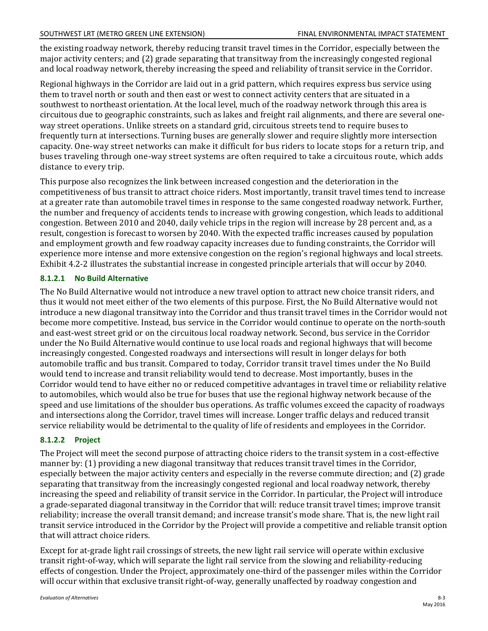the existing roadway network, thereby reducing transit travel times in the Corridor, especially between the major activity centers; and (2) grade separating that transitway from the increasingly congested regional and local roadway network, thereby increasing the speed and reliability of transit service in the Corridor.

Regional highways in the Corridor are laid out in a grid pattern, which requires express bus service using them to travel north or south and then east or west to connect activity centers that are situated in a southwest to northeast orientation. At the local level, much of the roadway network through this area is circuitous due to geographic constraints, such as lakes and freight rail alignments, and there are several oneway street operations. Unlike streets on a standard grid, circuitous streets tend to require buses to frequently turn at intersections. Turning buses are generally slower and require slightly more intersection capacity. One-way street networks can make it difficult for bus riders to locate stops for a return trip, and buses traveling through one-way street systems are often required to take a circuitous route, which adds distance to every trip.

This purpose also recognizes the link between increased congestion and the deterioration in the competitiveness of bus transit to attract choice riders. Most importantly, transit travel times tend to increase at a greater rate than automobile travel times in response to the same congested roadway network. Further, the number and frequency of accidents tends to increase with growing congestion, which leads to additional congestion. Between 2010 and 2040, daily vehicle trips in the region will increase by 28 percent and, as a result, congestion is forecast to worsen by 2040. With the expected traffic increases caused by population and employment growth and few roadway capacity increases due to funding constraints, the Corridor will experience more intense and more extensive congestion on the region's regional highways and local streets. Exhibit 4.2-2 illustrates the substantial increase in congested principle arterials that will occur by 2040.

#### **8.1.2.1 No Build Alternative**

The No Build Alternative would not introduce a new travel option to attract new choice transit riders, and thus it would not meet either of the two elements of this purpose. First, the No Build Alternative would not introduce a new diagonal transitway into the Corridor and thus transit travel times in the Corridor would not become more competitive. Instead, bus service in the Corridor would continue to operate on the north-south and east-west street grid or on the circuitous local roadway network. Second, bus service in the Corridor under the No Build Alternative would continue to use local roads and regional highways that will become increasingly congested. Congested roadways and intersections will result in longer delays for both automobile traffic and bus transit. Compared to today, Corridor transit travel times under the No Build would tend to increase and transit reliability would tend to decrease. Most importantly, buses in the Corridor would tend to have either no or reduced competitive advantages in travel time or reliability relative to automobiles, which would also be true for buses that use the regional highway network because of the speed and use limitations of the shoulder bus operations. As traffic volumes exceed the capacity of roadways and intersections along the Corridor, travel times will increase. Longer traffic delays and reduced transit service reliability would be detrimental to the quality of life of residents and employees in the Corridor.

#### **8.1.2.2 Project**

The Project will meet the second purpose of attracting choice riders to the transit system in a cost-effective manner by: (1) providing a new diagonal transitway that reduces transit travel times in the Corridor, especially between the major activity centers and especially in the reverse commute direction; and (2) grade separating that transitway from the increasingly congested regional and local roadway network, thereby increasing the speed and reliability of transit service in the Corridor. In particular, the Project will introduce a grade-separated diagonal transitway in the Corridor that will: reduce transit travel times; improve transit reliability; increase the overall transit demand; and increase transit's mode share. That is, the new light rail transit service introduced in the Corridor by the Project will provide a competitive and reliable transit option that will attract choice riders.

Except for at-grade light rail crossings of streets, the new light rail service will operate within exclusive transit right-of-way, which will separate the light rail service from the slowing and reliability-reducing effects of congestion. Under the Project, approximately one-third of the passenger miles within the Corridor will occur within that exclusive transit right-of-way, generally unaffected by roadway congestion and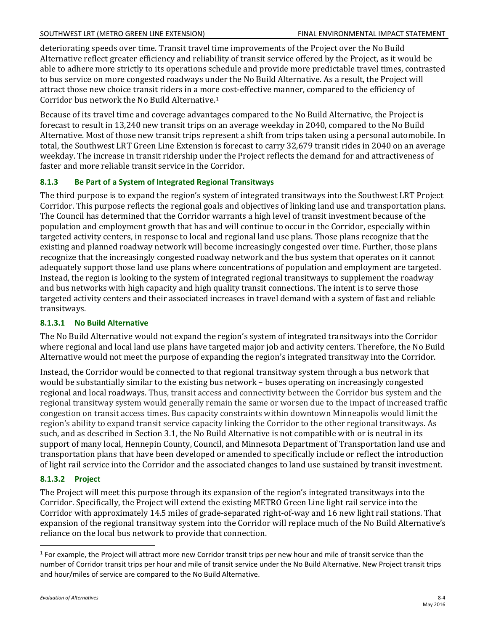#### SOUTHWEST LRT (METRO GREEN LINE EXTENSION) FINAL ENVIRONMENTAL IMPACT STATEMENT

deteriorating speeds over time. Transit travel time improvements of the Project over the No Build Alternative reflect greater efficiency and reliability of transit service offered by the Project, as it would be able to adhere more strictly to its operations schedule and provide more predictable travel times, contrasted to bus service on more congested roadways under the No Build Alternative. As a result, the Project will attract those new choice transit riders in a more cost-effective manner, compared to the efficiency of Corridor bus network the No Build Alternative.[1](#page-3-0)

Because of its travel time and coverage advantages compared to the No Build Alternative, the Project is forecast to result in 13,240 new transit trips on an average weekday in 2040, compared to the No Build Alternative. Most of those new transit trips represent a shift from trips taken using a personal automobile. In total, the Southwest LRT Green Line Extension is forecast to carry 32,679 transit rides in 2040 on an average weekday. The increase in transit ridership under the Project reflects the demand for and attractiveness of faster and more reliable transit service in the Corridor.

## **8.1.3 Be Part of a System of Integrated Regional Transitways**

The third purpose is to expand the region's system of integrated transitways into the Southwest LRT Project Corridor. This purpose reflects the regional goals and objectives of linking land use and transportation plans. The Council has determined that the Corridor warrants a high level of transit investment because of the population and employment growth that has and will continue to occur in the Corridor, especially within targeted activity centers, in response to local and regional land use plans. Those plans recognize that the existing and planned roadway network will become increasingly congested over time. Further, those plans recognize that the increasingly congested roadway network and the bus system that operates on it cannot adequately support those land use plans where concentrations of population and employment are targeted. Instead, the region is looking to the system of integrated regional transitways to supplement the roadway and bus networks with high capacity and high quality transit connections. The intent is to serve those targeted activity centers and their associated increases in travel demand with a system of fast and reliable transitways.

### **8.1.3.1 No Build Alternative**

The No Build Alternative would not expand the region's system of integrated transitways into the Corridor where regional and local land use plans have targeted major job and activity centers. Therefore, the No Build Alternative would not meet the purpose of expanding the region's integrated transitway into the Corridor.

Instead, the Corridor would be connected to that regional transitway system through a bus network that would be substantially similar to the existing bus network – buses operating on increasingly congested regional and local roadways. Thus, transit access and connectivity between the Corridor bus system and the regional transitway system would generally remain the same or worsen due to the impact of increased traffic congestion on transit access times. Bus capacity constraints within downtown Minneapolis would limit the region's ability to expand transit service capacity linking the Corridor to the other regional transitways. As such, and as described in Section 3.1, the No Build Alternative is not compatible with or is neutral in its support of many local, Hennepin County, Council, and Minnesota Department of Transportation land use and transportation plans that have been developed or amended to specifically include or reflect the introduction of light rail service into the Corridor and the associated changes to land use sustained by transit investment.

### **8.1.3.2 Project**

The Project will meet this purpose through its expansion of the region's integrated transitways into the Corridor. Specifically, the Project will extend the existing METRO Green Line light rail service into the Corridor with approximately 14.5 miles of grade-separated right-of-way and 16 new light rail stations. That expansion of the regional transitway system into the Corridor will replace much of the No Build Alternative's reliance on the local bus network to provide that connection.

 $\overline{a}$ 

<span id="page-3-0"></span><sup>&</sup>lt;sup>1</sup> For example, the Project will attract more new Corridor transit trips per new hour and mile of transit service than the number of Corridor transit trips per hour and mile of transit service under the No Build Alternative. New Project transit trips and hour/miles of service are compared to the No Build Alternative.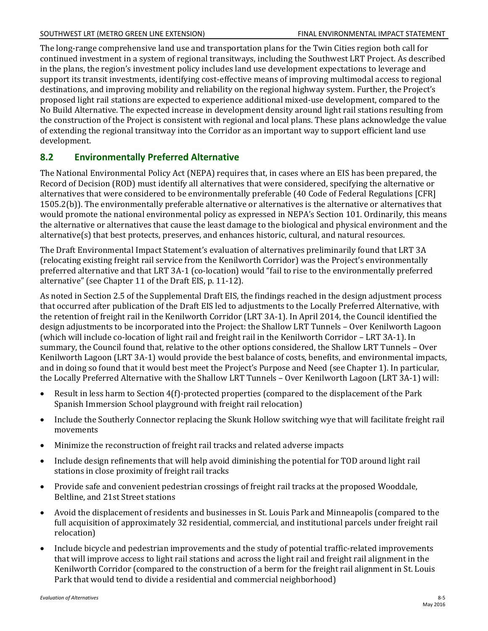The long-range comprehensive land use and transportation plans for the Twin Cities region both call for continued investment in a system of regional transitways, including the Southwest LRT Project. As described in the plans, the region's investment policy includes land use development expectations to leverage and support its transit investments, identifying cost-effective means of improving multimodal access to regional destinations, and improving mobility and reliability on the regional highway system. Further, the Project's proposed light rail stations are expected to experience additional mixed-use development, compared to the No Build Alternative. The expected increase in development density around light rail stations resulting from the construction of the Project is consistent with regional and local plans. These plans acknowledge the value of extending the regional transitway into the Corridor as an important way to support efficient land use development.

## **8.2 Environmentally Preferred Alternative**

The National Environmental Policy Act (NEPA) requires that, in cases where an EIS has been prepared, the Record of Decision (ROD) must identify all alternatives that were considered, specifying the alternative or alternatives that were considered to be environmentally preferable (40 Code of Federal Regulations [CFR] 1505.2(b)). The environmentally preferable alternative or alternatives is the alternative or alternatives that would promote the national environmental policy as expressed in NEPA's Section 101. Ordinarily, this means the alternative or alternatives that cause the least damage to the biological and physical environment and the alternative(s) that best protects, preserves, and enhances historic, cultural, and natural resources.

The Draft Environmental Impact Statement's evaluation of alternatives preliminarily found that LRT 3A (relocating existing freight rail service from the Kenilworth Corridor) was the Project's environmentally preferred alternative and that LRT 3A-1 (co-location) would "fail to rise to the environmentally preferred alternative" (see Chapter 11 of the Draft EIS, p. 11-12).

As noted in Section 2.5 of the Supplemental Draft EIS, the findings reached in the design adjustment process that occurred after publication of the Draft EIS led to adjustments to the Locally Preferred Alternative, with the retention of freight rail in the Kenilworth Corridor (LRT 3A-1). In April 2014, the Council identified the design adjustments to be incorporated into the Project: the Shallow LRT Tunnels – Over Kenilworth Lagoon (which will include co-location of light rail and freight rail in the Kenilworth Corridor – LRT 3A-1). In summary, the Council found that, relative to the other options considered, the Shallow LRT Tunnels – Over Kenilworth Lagoon (LRT 3A-1) would provide the best balance of costs, benefits, and environmental impacts, and in doing so found that it would best meet the Project's Purpose and Need (see Chapter 1). In particular, the Locally Preferred Alternative with the Shallow LRT Tunnels – Over Kenilworth Lagoon (LRT 3A-1) will:

- Result in less harm to Section 4(f)-protected properties (compared to the displacement of the Park Spanish Immersion School playground with freight rail relocation)
- $\bullet$ Include the Southerly Connector replacing the Skunk Hollow switching wye that will facilitate freight rail movements
- Minimize the reconstruction of freight rail tracks and related adverse impacts
- Include design refinements that will help avoid diminishing the potential for TOD around light rail stations in close proximity of freight rail tracks
- Provide safe and convenient pedestrian crossings of freight rail tracks at the proposed Wooddale, Beltline, and 21st Street stations
- Avoid the displacement of residents and businesses in St. Louis Park and Minneapolis (compared to the full acquisition of approximately 32 residential, commercial, and institutional parcels under freight rail relocation)
- Include bicycle and pedestrian improvements and the study of potential traffic-related improvements that will improve access to light rail stations and across the light rail and freight rail alignment in the Kenilworth Corridor (compared to the construction of a berm for the freight rail alignment in St. Louis Park that would tend to divide a residential and commercial neighborhood)